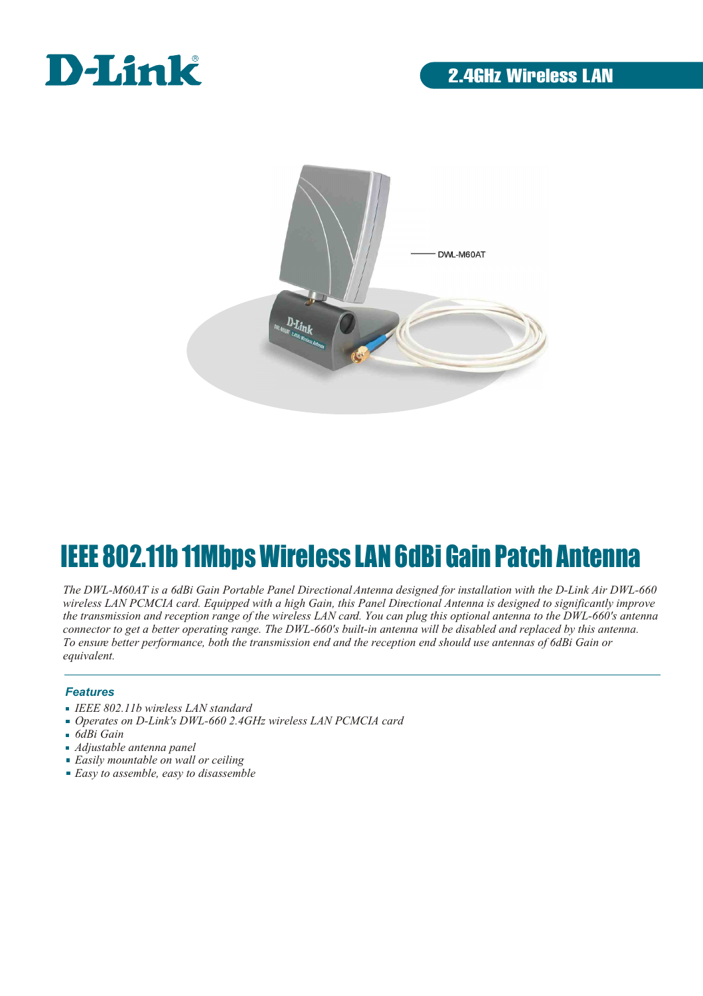



# IEEE 802.11b 11Mbps Wireless LAN 6dBi Gain Patch Antenna

*The DWL-M60AT is a 6dBi Gain Portable Panel Directional Antenna designed for installation with the D-Link Air DWL-660 wireless LAN PCMCIA card. Equipped with a high Gain, this Panel Directional Antenna is designed to significantly improve the transmission and reception range of the wireless LAN card. You can plug this optional antenna to the DWL-660's antenna connector to get a better operating range. The DWL-660's built-in antenna will be disabled and replaced by this antenna. To ensure better performance, both the transmission end and the reception end should use antennas of 6dBi Gain or equivalent.*

#### *Features*

- *IEEE 802.11b wireless LAN standard*
- *Operates on D-Link's DWL-660 2.4GHz wireless LAN PCMCIA card*
- *6dBi Gain*
- *Adjustable antenna panel*
- *Easily mountable on wall or ceiling*
- *Easy to assemble, easy to disassemble*